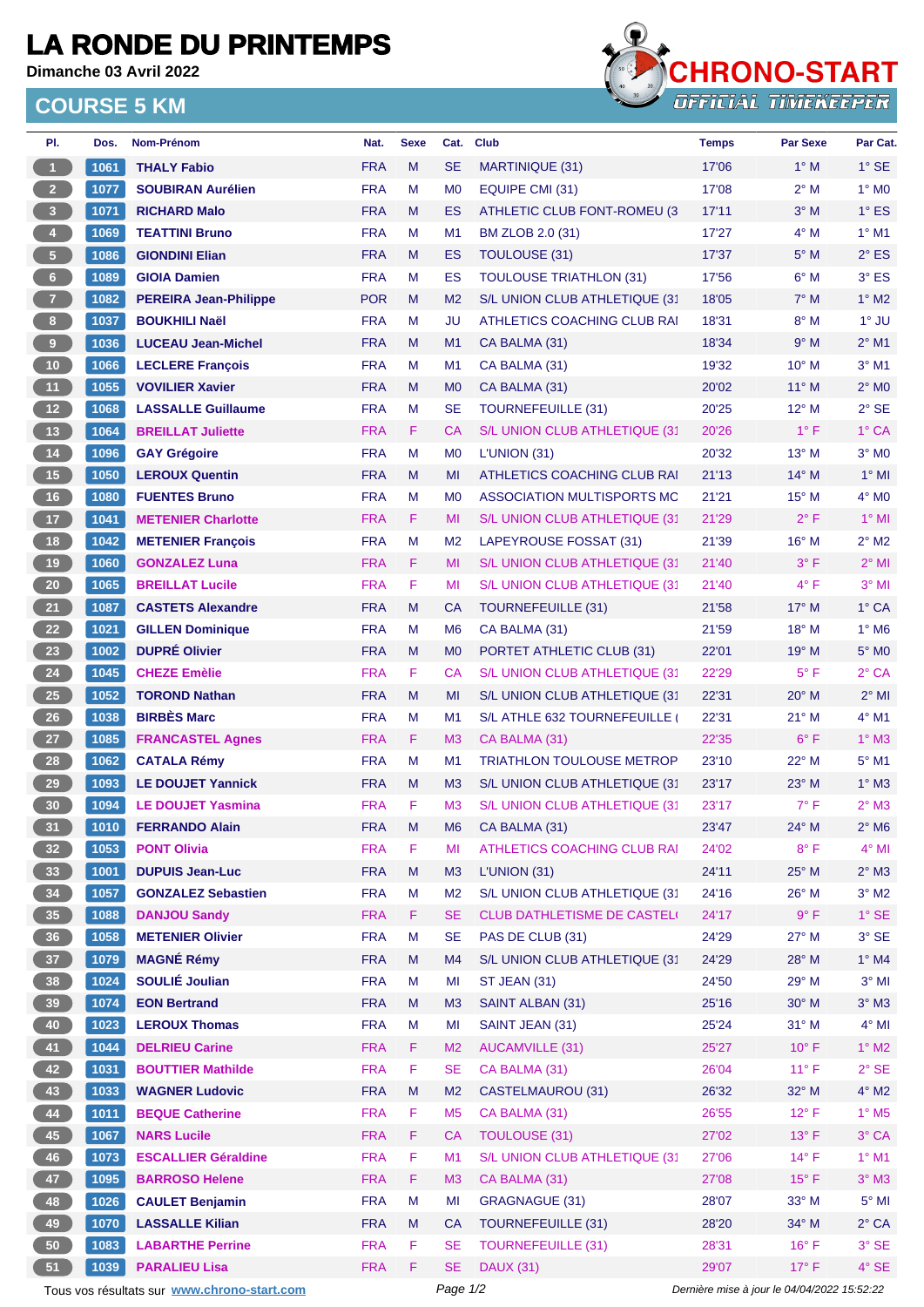## **LA RONDE DU PRINTEMPS**

**Dimanche 03 Avril 2022**

## **COURSE 5 KM**



| PI.                                                                                                    | Dos.         | Nom-Prénom                                  | Nat.       | <b>Sexe</b> | Cat.           | <b>Club</b>                                 | <b>Temps</b> | <b>Par Sexe</b> | Par Cat.                   |
|--------------------------------------------------------------------------------------------------------|--------------|---------------------------------------------|------------|-------------|----------------|---------------------------------------------|--------------|-----------------|----------------------------|
| $\blacktriangleleft$                                                                                   | 1061         | <b>THALY Fabio</b>                          | <b>FRA</b> | M           | <b>SE</b>      | MARTINIQUE (31)                             | 17'06        | $1^\circ$ M     | $1°$ SE                    |
| 2 <sup>7</sup>                                                                                         | 1077         | <b>SOUBIRAN Aurélien</b>                    | <b>FRA</b> | M           | M <sub>0</sub> | EQUIPE CMI (31)                             | 17'08        | $2^{\circ}$ M   | $1^\circ$ MO               |
| $\overline{\mathbf{3}}$                                                                                | 1071         | <b>RICHARD Malo</b>                         | <b>FRA</b> | M           | <b>ES</b>      | ATHLETIC CLUB FONT-ROMEU (3                 | 17'11        | $3°$ M          | $1^\circ$ ES               |
| $\overline{4}$                                                                                         | 1069         | <b>TEATTINI Bruno</b>                       | <b>FRA</b> | М           | M1             | BM ZLOB 2.0 (31)                            | 17'27        | $4^\circ$ M     | $1^\circ$ M1               |
| 5 <sub>1</sub>                                                                                         | 1086         | <b>GIONDINI Elian</b>                       | <b>FRA</b> | M           | ES             | <b>TOULOUSE (31)</b>                        | 17'37        | $5^\circ$ M     | $2^{\circ}$ ES             |
| 6                                                                                                      | 1089         | <b>GIOIA Damien</b>                         | <b>FRA</b> | М           | ES             | <b>TOULOUSE TRIATHLON (31)</b>              | 17'56        | $6^\circ$ M     | $3°$ ES                    |
| $\overline{7}$                                                                                         | 1082         | <b>PEREIRA Jean-Philippe</b>                | <b>POR</b> | M           | M <sub>2</sub> | S/L UNION CLUB ATHLETIQUE (31               | 18'05        | $7^\circ$ M     | $1^\circ$ M2               |
| 8 <sup>1</sup>                                                                                         | 1037         | <b>BOUKHILI Naël</b>                        | <b>FRA</b> | М           | JU             | ATHLETICS COACHING CLUB RAI                 | 18'31        | $8^\circ$ M     | 1° JU                      |
| $\overline{9}$                                                                                         | 1036         | <b>LUCEAU Jean-Michel</b>                   | <b>FRA</b> | M           | M1             | CA BALMA (31)                               | 18'34        | 9° M            | $2^{\circ}$ M1             |
| 10                                                                                                     | 1066         | <b>LECLERE François</b>                     | <b>FRA</b> | M           | M1             | CA BALMA (31)                               | 19'32        | 10° M           | $3°$ M1                    |
| 11                                                                                                     | 1055         | <b>VOVILIER Xavier</b>                      | <b>FRA</b> | M           | M <sub>0</sub> | CA BALMA (31)                               | 20'02        | $11^{\circ}$ M  | $2^{\circ}$ MO             |
| $12$                                                                                                   | 1068         | <b>LASSALLE Guillaume</b>                   | <b>FRA</b> | М           | <b>SE</b>      | <b>TOURNEFEUILLE (31)</b>                   | 20'25        | 12° M           | $2°$ SE                    |
| 13                                                                                                     | 1064         | <b>BREILLAT Juliette</b>                    | <b>FRA</b> | F.          | CA             | S/L UNION CLUB ATHLETIQUE (31               | 20'26        | $1^{\circ}$ F   | 1° CA                      |
| 14                                                                                                     | 1096         | <b>GAY Grégoire</b>                         | <b>FRA</b> | M           | M <sub>0</sub> | L'UNION (31)                                | 20'32        | 13° M           | $3°$ MO                    |
| 15                                                                                                     | 1050         | <b>LEROUX Quentin</b>                       | <b>FRA</b> | M           | MI             | ATHLETICS COACHING CLUB RAI                 | 21'13        | $14^{\circ}$ M  | $1^\circ$ MI               |
| 16                                                                                                     | 1080         | <b>FUENTES Bruno</b>                        | <b>FRA</b> | M           | M <sub>0</sub> | ASSOCIATION MULTISPORTS MC                  | 21'21        | 15° M           | $4^\circ$ MO               |
| 17                                                                                                     | 1041         | <b>METENIER Charlotte</b>                   | <b>FRA</b> | F.          | MI             | S/L UNION CLUB ATHLETIQUE (31               | 21'29        | $2^{\circ}$ F   | $1^\circ$ MI               |
| 18                                                                                                     | 1042         | <b>METENIER Francois</b>                    | <b>FRA</b> | M           | M <sub>2</sub> | LAPEYROUSE FOSSAT (31)                      | 21'39        | 16° M           | $2^{\circ}$ M2             |
| 19                                                                                                     | 1060         | <b>GONZALEZ Luna</b>                        | <b>FRA</b> | F           | MI             | S/L UNION CLUB ATHLETIQUE (31               | 21'40        | $3^\circ$ F     | $2^{\circ}$ MI             |
| ${\bf 20}$                                                                                             | 1065         | <b>BREILLAT Lucile</b>                      | <b>FRA</b> | F           | MI             | S/L UNION CLUB ATHLETIQUE (31               | 21'40        | $4^{\circ}$ F   | $3°$ MI                    |
| 21                                                                                                     | 1087         | <b>CASTETS Alexandre</b>                    | <b>FRA</b> | M           | CA             | <b>TOURNEFEUILLE (31)</b>                   | 21'58        | $17^{\circ}$ M  | $1^\circ$ CA               |
| 22                                                                                                     | 1021         | <b>GILLEN Dominique</b>                     | <b>FRA</b> | M           | M <sub>6</sub> | CA BALMA (31)                               | 21'59        | 18° M           | $1^\circ$ M <sub>6</sub>   |
| 23                                                                                                     | 1002         | <b>DUPRÉ Olivier</b>                        | <b>FRA</b> | M           | M <sub>0</sub> | PORTET ATHLETIC CLUB (31)                   | 22'01        | 19° M           | $5^\circ$ MO               |
| 24                                                                                                     | 1045         | <b>CHEZE Emèlie</b>                         | <b>FRA</b> | F.          | CA             | S/L UNION CLUB ATHLETIQUE (31)              | 22'29        | $5^{\circ}$ F   | $2°$ CA                    |
| 25                                                                                                     | 1052         | <b>TOROND Nathan</b>                        | <b>FRA</b> | M           | MI             | S/L UNION CLUB ATHLETIQUE (31               | 22'31        | $20^\circ$ M    | $2^{\circ}$ MI             |
| $26\phantom{.}$                                                                                        | 1038         | <b>BIRBÈS Marc</b>                          | <b>FRA</b> | М           | M1             | S/L ATHLE 632 TOURNEFEUILLE                 | 22'31        | $21°$ M         | $4^{\circ}$ M1             |
| 27                                                                                                     | 1085         | <b>FRANCASTEL Agnes</b>                     | <b>FRA</b> | F           | M <sub>3</sub> | CA BALMA (31)                               | 22'35        | $6^{\circ}$ F   | $1^\circ$ M3               |
| 28                                                                                                     | 1062         | <b>CATALA Rémy</b>                          | <b>FRA</b> | М           | M1             | <b>TRIATHLON TOULOUSE METROP</b>            | 23'10        | 22° M           | $5^{\circ}$ M1             |
| 29                                                                                                     | 1093         | <b>LE DOUJET Yannick</b>                    | <b>FRA</b> | M           | M <sub>3</sub> | S/L UNION CLUB ATHLETIQUE (31               | 23'17        | $23^\circ$ M    | $1^\circ$ M3               |
| 30                                                                                                     |              |                                             | <b>FRA</b> | F           | M <sub>3</sub> | S/L UNION CLUB ATHLETIQUE (31               | 23'17        | $7^\circ$ F     | $2^{\circ}$ M3             |
| 31                                                                                                     | 1094<br>1010 | <b>LE DOUJET Yasmina</b>                    | <b>FRA</b> | M           | M <sub>6</sub> | CA BALMA (31)                               | 23'47        | $24^{\circ}$ M  | $2^{\circ}$ M <sub>6</sub> |
|                                                                                                        |              | <b>FERRANDO Alain</b><br><b>PONT Olivia</b> |            | F           |                |                                             |              | $8^{\circ}$ F   | $4^{\circ}$ MI             |
| 32 <sub>2</sub>                                                                                        | 1053         |                                             | <b>FRA</b> | M           | MI             | ATHLETICS COACHING CLUB RAI<br>L'UNION (31) | 24'02        |                 |                            |
| 33                                                                                                     | 1001         | <b>DUPUIS Jean-Luc</b>                      | <b>FRA</b> |             | M3             |                                             | 24'11        | 25° M           | $2^{\circ}$ M3             |
| 34                                                                                                     | 1057         | <b>GONZALEZ Sebastien</b>                   | <b>FRA</b> | M<br>F      | M <sub>2</sub> | S/L UNION CLUB ATHLETIQUE (31               | 24'16        | 26° M<br>9° F   | $3^\circ$ M2               |
| 35                                                                                                     | 1088         | <b>DANJOU Sandy</b>                         | <b>FRA</b> |             | <b>SE</b>      | <b>CLUB DATHLETISME DE CASTEL</b>           | 24'17        |                 | $1^\circ$ SE               |
| 36 <sup>°</sup>                                                                                        | 1058         | <b>METENIER Olivier</b>                     | <b>FRA</b> | M           | <b>SE</b>      | PAS DE CLUB (31)                            | 24'29        | 27° M           | $3°$ SE                    |
| 37                                                                                                     | 1079         | <b>MAGNÉ Rémy</b>                           | <b>FRA</b> | M           | M4             | S/L UNION CLUB ATHLETIQUE (31               | 24'29        | 28° M           | $1^\circ$ M4               |
| 38                                                                                                     | 1024         | <b>SOULIÉ Joulian</b>                       | <b>FRA</b> | M           | MI             | <b>ST JEAN (31)</b>                         | 24'50        | 29° M           | $3°$ MI                    |
| 39                                                                                                     | $1074$       | <b>EON Bertrand</b>                         | <b>FRA</b> | M           | M <sub>3</sub> | SAINT ALBAN (31)                            | 25'16        | $30^\circ$ M    | $3^\circ$ M3               |
| 40                                                                                                     | 1023         | <b>LEROUX Thomas</b>                        | <b>FRA</b> | M           | MI             | SAINT JEAN (31)                             | 25'24        | 31° M           | $4^{\circ}$ MI             |
| 41                                                                                                     | 1044         | <b>DELRIEU Carine</b>                       | <b>FRA</b> | F           | M <sub>2</sub> | <b>AUCAMVILLE (31)</b>                      | 25'27        | $10^{\circ}$ F  | $1^\circ$ M2               |
| 42                                                                                                     | 1031         | <b>BOUTTIER Mathilde</b>                    | <b>FRA</b> | F           | <b>SE</b>      | CA BALMA (31)                               | 26'04        | $11^{\circ}$ F  | $2°$ SE                    |
| 43                                                                                                     | 1033         | <b>WAGNER Ludovic</b>                       | <b>FRA</b> | M           | M <sub>2</sub> | <b>CASTELMAUROU (31)</b>                    | 26'32        | 32° M           | $4^\circ$ M2               |
| 44                                                                                                     | 1011         | <b>BEQUE Catherine</b>                      | <b>FRA</b> | F           | M <sub>5</sub> | CA BALMA (31)                               | 26'55        | $12^{\circ}$ F  | $1^\circ$ M <sub>5</sub>   |
| 45                                                                                                     | 1067         | <b>NARS Lucile</b>                          | <b>FRA</b> | F.          | <b>CA</b>      | <b>TOULOUSE (31)</b>                        | 27'02        | $13^{\circ}$ F  | 3° CA                      |
| 46                                                                                                     | 1073         | <b>ESCALLIER Géraldine</b>                  | <b>FRA</b> | F           | M1             | S/L UNION CLUB ATHLETIQUE (31               | 27'06        | $14^{\circ}$ F  | $1^\circ$ M1               |
| 47                                                                                                     | 1095         | <b>BARROSO Helene</b>                       | <b>FRA</b> | F.          | M3             | CA BALMA (31)                               | 27'08        | $15^{\circ}$ F  | $3^\circ$ M3               |
| 48                                                                                                     | 1026         | <b>CAULET Benjamin</b>                      | <b>FRA</b> | M           | MI             | <b>GRAGNAGUE (31)</b>                       | 28'07        | 33° M           | $5^\circ$ MI               |
| 49                                                                                                     | 1070         | <b>LASSALLE Kilian</b>                      | <b>FRA</b> | M           | <b>CA</b>      | <b>TOURNEFEUILLE (31)</b>                   | 28'20        | 34° M           | $2^{\circ}$ CA             |
| 50                                                                                                     | 1083         | <b>LABARTHE Perrine</b>                     | <b>FRA</b> | F           | <b>SE</b>      | <b>TOURNEFEUILLE (31)</b>                   | 28'31        | $16^{\circ}$ F  | $3°$ SE                    |
| 51                                                                                                     | 1039         | <b>PARALIEU Lisa</b>                        | <b>FRA</b> | F           | <b>SE</b>      | <b>DAUX (31)</b>                            | 29'07        | $17^{\circ}$ F  | $4^\circ$ SE               |
| Page 1/2<br>Tous vos résultats sur www.chrono-start.com<br>Dernière mise à jour le 04/04/2022 15:52:22 |              |                                             |            |             |                |                                             |              |                 |                            |